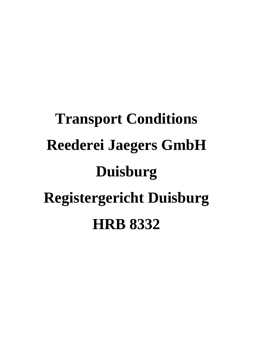# **Transport Conditions Reederei Jaegers GmbH Duisburg Registergericht Duisburg HRB 8332**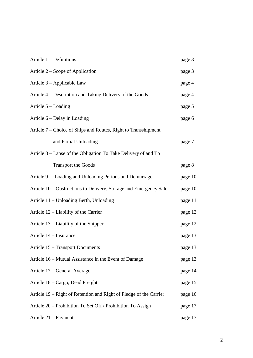| Article 1 – Definitions                                            | page 3  |
|--------------------------------------------------------------------|---------|
| Article 2 – Scope of Application                                   | page 3  |
| Article 3 – Applicable Law                                         | page 4  |
| Article 4 – Description and Taking Delivery of the Goods           | page 4  |
| Article 5 – Loading                                                | page 5  |
| Article 6 – Delay in Loading                                       | page 6  |
| Article 7 – Choice of Ships and Routes, Right to Transshipment     |         |
| and Partial Unloading                                              | page 7  |
| Article 8 – Lapse of the Obligation To Take Delivery of and To     |         |
| <b>Transport the Goods</b>                                         | page 8  |
| Article 9 – :Loading and Unloading Periods and Demurrage           | page 10 |
| Article 10 - Obstructions to Delivery, Storage and Emergency Sale  | page 10 |
| Article 11 – Unloading Berth, Unloading                            | page 11 |
| Article 12 – Liability of the Carrier                              | page 12 |
| Article 13 – Liability of the Shipper                              | page 12 |
| Article 14 – Insurance                                             | page 13 |
| Article 15 - Transport Documents                                   | page 13 |
| Article 16 – Mutual Assistance in the Event of Damage              | page 13 |
| Article 17 – General Average                                       | page 14 |
| Article 18 – Cargo, Dead Freight                                   | page 15 |
| Article 19 – Right of Retention and Right of Pledge of the Carrier | page 16 |
| Article 20 – Prohibition To Set Off / Prohibition To Assign        | page 17 |
| Article 21 – Payment                                               | page 17 |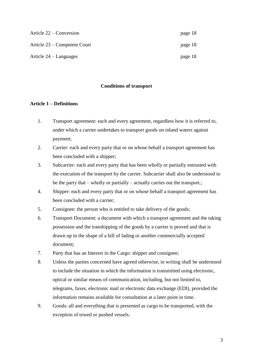| Article 22 – Conversion      | page 18 |
|------------------------------|---------|
| Article 23 – Competent Court | page 18 |
| Article $24 -$ Languages     | page 18 |

#### **Conditions of transport**

#### **Article 1 – Definitions**

- 1. Transport agreement: each and every agreement, regardless how it is referred to, under which a carrier undertakes to transport goods on inland waters against payment;
- 2. Carrier: each and every party that or on whose behalf a transport agreement has been concluded with a shipper;
- 3. Subcarrier: each and every party that has been wholly or partially entrusted with the execution of the transport by the carrier. Subcarrier shall also be understood to be the party that – wholly or partially – actually carries out the transport.;
- 4. Shipper: each and every party that or on whose behalf a transport agreement has been concluded with a carrier;
- 5. Consignee: the person who is entitled to take delivery of the goods;
- 6. Transport Document: a document with which a transport agreement and the taking possession and the transhipping of the goods by a carrier is proved and that is drawn up in the shape of a bill of lading or another commercially accepted document;
- 7. Party that has an Interest in the Cargo: shipper and consignee;
- 8. Unless the parties concerned have agreed otherwise, in writing shall be understood to include the situation in which the information is transmitted using electronic, optical or similar means of communication, including, but not limited to, telegrams, faxes, electronic mail or electronic data exchange (EDI), provided the information remains available for consultation at a later point in time.
- 9. Goods: all and everything that is presented as cargo to be transported, with the exception of towed or pushed vessels.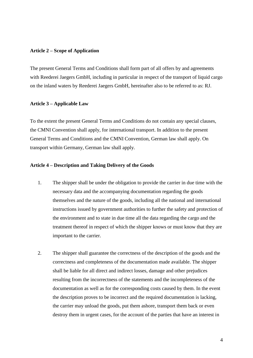#### **Article 2 – Scope of Application**

The present General Terms and Conditions shall form part of all offers by and agreements with Reederei Jaegers GmbH, including in particular in respect of the transport of liquid cargo on the inland waters by Reederei Jaegers GmbH, hereinafter also to be referred to as: RJ.

#### **Article 3 – Applicable Law**

To the extent the present General Terms and Conditions do not contain any special clauses, the CMNI Convention shall apply, for international transport. In addition to the present General Terms and Conditions and the CMNI Convention, German law shall apply. On transport within Germany, German law shall apply.

### **Article 4 – Description and Taking Delivery of the Goods**

- 1. The shipper shall be under the obligation to provide the carrier in due time with the necessary data and the accompanying documentation regarding the goods themselves and the nature of the goods, including all the national and international instructions issued by government authorities to further the safety and protection of the environment and to state in due time all the data regarding the cargo and the treatment thereof in respect of which the shipper knows or must know that they are important to the carrier.
- 2. The shipper shall guarantee the correctness of the description of the goods and the correctness and completeness of the documentation made available. The shipper shall be liable for all direct and indirect losses, damage and other prejudices resulting from the incorrectness of the statements and the incompleteness of the documentation as well as for the corresponding costs caused by them. In the event the description proves to be incorrect and the required documentation is lacking, the carrier may unload the goods, put them ashore, transport them back or even destroy them in urgent cases, for the account of the parties that have an interest in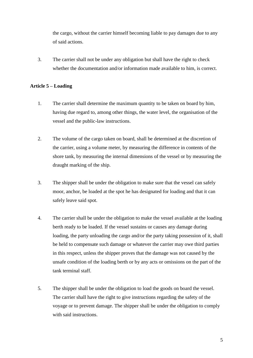the cargo, without the carrier himself becoming liable to pay damages due to any of said actions.

3. The carrier shall not be under any obligation but shall have the right to check whether the documentation and/or information made available to him, is correct.

# **Article 5 – Loading**

- 1. The carrier shall determine the maximum quantity to be taken on board by him, having due regard to, among other things, the water level, the organisation of the vessel and the public-law instructions.
- 2. The volume of the cargo taken on board, shall be determined at the discretion of the carrier, using a volume meter, by measuring the difference in contents of the shore tank, by measuring the internal dimensions of the vessel or by measuring the draught marking of the ship.
- 3. The shipper shall be under the obligation to make sure that the vessel can safely moor, anchor, be loaded at the spot he has designated for loading and that it can safely leave said spot.
- 4. The carrier shall be under the obligation to make the vessel available at the loading berth ready to be loaded. If the vessel sustains or causes any damage during loading, the party unloading the cargo and/or the party taking possession of it, shall be held to compensate such damage or whatever the carrier may owe third parties in this respect, unless the shipper proves that the damage was not caused by the unsafe condition of the loading berth or by any acts or omissions on the part of the tank terminal staff.
- 5. The shipper shall be under the obligation to load the goods on board the vessel. The carrier shall have the right to give instructions regarding the safety of the voyage or to prevent damage. The shipper shall be under the obligation to comply with said instructions.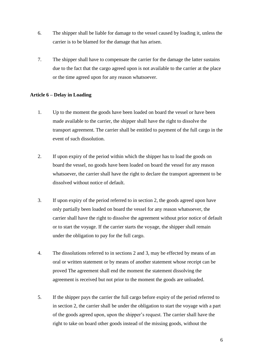- 6. The shipper shall be liable for damage to the vessel caused by loading it, unless the carrier is to be blamed for the damage that has arisen.
- 7. The shipper shall have to compensate the carrier for the damage the latter sustains due to the fact that the cargo agreed upon is not available to the carrier at the place or the time agreed upon for any reason whatsoever.

# **Article 6 – Delay in Loading**

- 1. Up to the moment the goods have been loaded on board the vessel or have been made available to the carrier, the shipper shall have the right to dissolve the transport agreement. The carrier shall be entitled to payment of the full cargo in the event of such dissolution.
- 2. If upon expiry of the period within which the shipper has to load the goods on board the vessel, no goods have been loaded on board the vessel for any reason whatsoever, the carrier shall have the right to declare the transport agreement to be dissolved without notice of default.
- 3. If upon expiry of the period referred to in section 2, the goods agreed upon have only partially been loaded on board the vessel for any reason whatsoever, the carrier shall have the right to dissolve the agreement without prior notice of default or to start the voyage. If the carrier starts the voyage, the shipper shall remain under the obligation to pay for the full cargo.
- 4. The dissolutions referred to in sections 2 and 3, may be effected by means of an oral or written statement or by means of another statement whose receipt can be proved The agreement shall end the moment the statement dissolving the agreement is received but not prior to the moment the goods are unloaded.
- 5. If the shipper pays the carrier the full cargo before expiry of the period referred to in section 2, the carrier shall be under the obligation to start the voyage with a part of the goods agreed upon, upon the shipper's request. The carrier shall have the right to take on board other goods instead of the missing goods, without the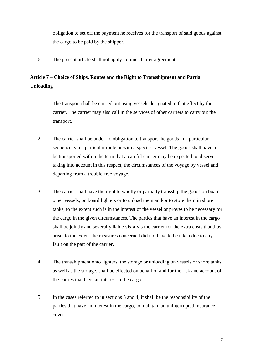obligation to set off the payment he receives for the transport of said goods against the cargo to be paid by the shipper.

6. The present article shall not apply to time charter agreements.

# **Article 7 – Choice of Ships, Routes and the Right to Transshipment and Partial Unloading**

- 1. The transport shall be carried out using vessels designated to that effect by the carrier. The carrier may also call in the services of other carriers to carry out the transport.
- 2. The carrier shall be under no obligation to transport the goods in a particular sequence, via a particular route or with a specific vessel. The goods shall have to be transported within the term that a careful carrier may be expected to observe, taking into account in this respect, the circumstances of the voyage by vessel and departing from a trouble-free voyage.
- 3. The carrier shall have the right to wholly or partially transship the goods on board other vessels, on board lighters or to unload them and/or to store them in shore tanks, to the extent such is in the interest of the vessel or proves to be necessary for the cargo in the given circumstances. The parties that have an interest in the cargo shall be jointly and severally liable vis-à-vis the carrier for the extra costs that thus arise, to the extent the measures concerned did not have to be taken due to any fault on the part of the carrier.
- 4. The transshipment onto lighters, the storage or unloading on vessels or shore tanks as well as the storage, shall be effected on behalf of and for the risk and account of the parties that have an interest in the cargo.
- 5. In the cases referred to in sections 3 and 4, it shall be the responsibility of the parties that have an interest in the cargo, to maintain an uninterrupted insurance cover.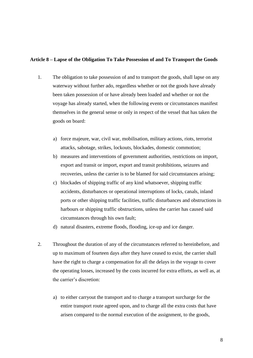#### **Article 8 – Lapse of the Obligation To Take Possession of and To Transport the Goods**

- 1. The obligation to take possession of and to transport the goods, shall lapse on any waterway without further ado, regardless whether or not the goods have already been taken possession of or have already been loaded and whether or not the voyage has already started, when the following events or circumstances manifest themselves in the general sense or only in respect of the vessel that has taken the goods on board:
	- a) force majeure, war, civil war, mobilisation, military actions, riots, terrorist attacks, sabotage, strikes, lockouts, blockades, domestic commotion;
	- b) measures and interventions of government authorities, restrictions on import, export and transit or import, export and transit prohibitions, seizures and recoveries, unless the carrier is to be blamed for said circumstances arising;
	- c) blockades of shipping traffic of any kind whatsoever, shipping traffic accidents, disturbances or operational interruptions of locks, canals, inland ports or other shipping traffic facilities, traffic disturbances and obstructions in harbours or shipping traffic obstructions, unless the carrier has caused said circumstances through his own fault;
	- d) natural disasters, extreme floods, flooding, ice-up and ice danger.
- 2. Throughout the duration of any of the circumstances referred to hereinbefore, and up to maximum of fourteen days after they have ceased to exist, the carrier shall have the right to charge a compensation for all the delays in the voyage to cover the operating losses, increased by the costs incurred for extra efforts, as well as, at the carrier's discretion:
	- a) to either carryout the transport and to charge a transport surcharge for the entire transport route agreed upon, and to charge all the extra costs that have arisen compared to the normal execution of the assignment, to the goods,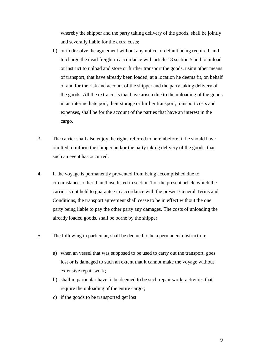whereby the shipper and the party taking delivery of the goods, shall be jointly and severally liable for the extra costs;

- b) or to dissolve the agreement without any notice of default being required, and to charge the dead freight in accordance with article 18 section 5 and to unload or instruct to unload and store or further transport the goods, using other means of transport, that have already been loaded, at a location he deems fit, on behalf of and for the risk and account of the shipper and the party taking delivery of the goods. All the extra costs that have arisen due to the unloading of the goods in an intermediate port, their storage or further transport, transport costs and expenses, shall be for the account of the parties that have an interest in the cargo.
- 3. The carrier shall also enjoy the rights referred to hereinbefore, if he should have omitted to inform the shipper and/or the party taking delivery of the goods, that such an event has occurred.
- 4. If the voyage is permanently prevented from being accomplished due to circumstances other than those listed in section 1 of the present article which the carrier is not held to guarantee in accordance with the present General Terms and Conditions, the transport agreement shall cease to be in effect without the one party being liable to pay the other party any damages. The costs of unloading the already loaded goods, shall be borne by the shipper.
- 5. The following in particular, shall be deemed to be a permanent obstruction:
	- a) when an vessel that was supposed to be used to carry out the transport, goes lost or is damaged to such an extent that it cannot make the voyage without extensive repair work;
	- b) shall in particular have to be deemed to be such repair work: activities that require the unloading of the entire cargo ;
	- c) if the goods to be transported get lost.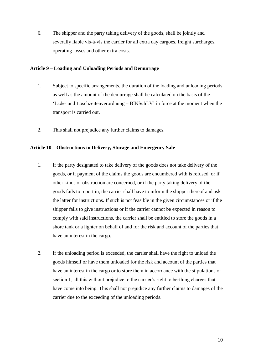6. The shipper and the party taking delivery of the goods, shall be jointly and severally liable vis-à-vis the carrier for all extra day cargoes, freight surcharges, operating losses and other extra costs.

# **Article 9 – Loading and Unloading Periods and Demurrage**

- 1. Subject to specific arrangements, the duration of the loading and unloading periods as well as the amount of the demurrage shall be calculated on the basis of the 'Lade- und Löschzeitenverordnung – BINSchLV' in force at the moment when the transport is carried out.
- 2. This shall not prejudice any further claims to damages.

# **Article 10 – Obstructions to Delivery, Storage and Emergency Sale**

- 1. If the party designated to take delivery of the goods does not take delivery of the goods, or if payment of the claims the goods are encumbered with is refused, or if other kinds of obstruction are concerned, or if the party taking delivery of the goods fails to report in, the carrier shall have to inform the shipper thereof and ask the latter for instructions. If such is not feasible in the given circumstances or if the shipper fails to give instructions or if the carrier cannot be expected in reason to comply with said instructions, the carrier shall be entitled to store the goods in a shore tank or a lighter on behalf of and for the risk and account of the parties that have an interest in the cargo.
- 2. If the unloading period is exceeded, the carrier shall have the right to unload the goods himself or have them unloaded for the risk and account of the parties that have an interest in the cargo or to store them in accordance with the stipulations of section 1, all this without prejudice to the carrier's right to berthing charges that have come into being. This shall not prejudice any further claims to damages of the carrier due to the exceeding of the unloading periods.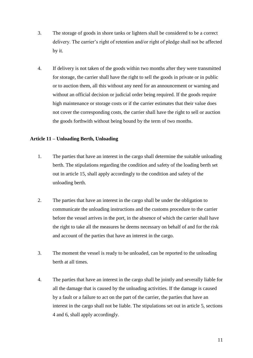- 3. The storage of goods in shore tanks or lighters shall be considered to be a correct delivery. The carrier's right of retention and/or right of pledge shall not be affected by it.
- 4. If delivery is not taken of the goods within two months after they were transmitted for storage, the carrier shall have the right to sell the goods in private or in public or to auction them, all this without any need for an announcement or warning and without an official decision or judicial order being required. If the goods require high maintenance or storage costs or if the carrier estimates that their value does not cover the corresponding costs, the carrier shall have the right to sell or auction the goods forthwith without being bound by the term of two months.

# **Article 11 – Unloading Berth, Unloading**

- 1. The parties that have an interest in the cargo shall determine the suitable unloading berth. The stipulations regarding the condition and safety of the loading berth set out in article 15, shall apply accordingly to the condition and safety of the unloading berth.
- 2. The parties that have an interest in the cargo shall be under the obligation to communicate the unloading instructions and the customs procedure to the carrier before the vessel arrives in the port, in the absence of which the carrier shall have the right to take all the measures he deems necessary on behalf of and for the risk and account of the parties that have an interest in the cargo.
- 3. The moment the vessel is ready to be unloaded, can be reported to the unloading berth at all times.
- 4. The parties that have an interest in the cargo shall be jointly and severally liable for all the damage that is caused by the unloading activities. If the damage is caused by a fault or a failure to act on the part of the carrier, the parties that have an interest in the cargo shall not be liable. The stipulations set out in article 5, sections 4 and 6, shall apply accordingly.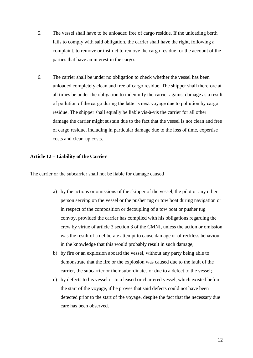- 5. The vessel shall have to be unloaded free of cargo residue. If the unloading berth fails to comply with said obligation, the carrier shall have the right, following a complaint, to remove or instruct to remove the cargo residue for the account of the parties that have an interest in the cargo.
- 6. The carrier shall be under no obligation to check whether the vessel has been unloaded completely clean and free of cargo residue. The shipper shall therefore at all times be under the obligation to indemnify the carrier against damage as a result of pollution of the cargo during the latter's next voyage due to pollution by cargo residue. The shipper shall equally be liable vis-à-vis the carrier for all other damage the carrier might sustain due to the fact that the vessel is not clean and free of cargo residue, including in particular damage due to the loss of time, expertise costs and clean-up costs.

#### **Article 12 – Liability of the Carrier**

The carrier or the subcarrier shall not be liable for damage caused

- a) by the actions or omissions of the skipper of the vessel, the pilot or any other person serving on the vessel or the pusher tug or tow boat during navigation or in respect of the composition or decoupling of a tow boat or pusher tug convoy, provided the carrier has complied with his obligations regarding the crew by virtue of article 3 section 3 of the CMNI, unless the action or omission was the result of a deliberate attempt to cause damage or of reckless behaviour in the knowledge that this would probably result in such damage;
- b) by fire or an explosion aboard the vessel, without any party being able to demonstrate that the fire or the explosion was caused due to the fault of the carrier, the subcarrier or their subordinates or due to a defect to the vessel;
- c) by defects to his vessel or to a leased or chartered vessel, which existed before the start of the voyage, if he proves that said defects could not have been detected prior to the start of the voyage, despite the fact that the necessary due care has been observed.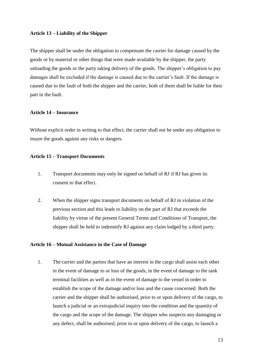#### **Article 13 – Liability of the Shipper**

The shipper shall be under the obligation to compensate the carrier for damage caused by the goods or by material or other things that were made available by the shipper, the party unloading the goods or the party taking delivery of the goods. The shipper's obligation to pay damages shall be excluded if the damage is caused due to the carrier's fault. If the damage is caused due to the fault of both the shipper and the carrier, both of them shall be liable for their part in the fault.

#### **Article 14 – Insurance**

Without explicit order in writing to that effect, the carrier shall not be under any obligation to insure the goods against any risks or dangers.

#### **Article 15 – Transport Documents**

- 1. Transport documents may only be signed on behalf of RJ if RJ has given its consent to that effect.
- 2. When the shipper signs transport documents on behalf of RJ in violation of the previous section and this leads to liability on the part of RJ that exceeds the liability by virtue of the present General Terms and Conditions of Transport, the shipper shall be held to indemnify RJ against any claim lodged by a third party.

#### **Article 16 – Mutual Assistance in the Case of Damage**

1. The carrier and the parties that have an interest in the cargo shall assist each other in the event of damage to or loss of the goods, in the event of damage to the tank terminal facilities as well as in the event of damage to the vessel in order to establish the scope of the damage and/or loss and the cause concerned. Both the carrier and the shipper shall be authorised, prior to or upon delivery of the cargo, to launch a judicial or an extrajudicial inquiry into the condition and the quantity of the cargo and the scope of the damage. The shipper who suspects any damaging or any defect, shall be authorised, prior to or upon delivery of the cargo, to launch a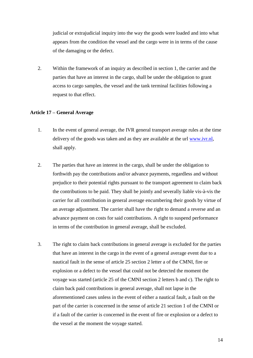judicial or extrajudicial inquiry into the way the goods were loaded and into what appears from the condition the vessel and the cargo were in in terms of the cause of the damaging or the defect.

2. Within the framework of an inquiry as described in section 1, the carrier and the parties that have an interest in the cargo, shall be under the obligation to grant access to cargo samples, the vessel and the tank terminal facilities following a request to that effect.

# **Article 17 – General Average**

- 1. In the event of general average, the IVR general transport average rules at the time delivery of the goods was taken and as they are available at the url [www.ivr.nl,](http://www.ivr.nl/) shall apply.
- 2. The parties that have an interest in the cargo, shall be under the obligation to forthwith pay the contributions and/or advance payments, regardless and without prejudice to their potential rights pursuant to the transport agreement to claim back the contributions to be paid. They shall be jointly and severally liable vis-à-vis the carrier for all contribution in general average encumbering their goods by virtue of an average adjustment. The carrier shall have the right to demand a reverse and an advance payment on costs for said contributions. A right to suspend performance in terms of the contribution in general average, shall be excluded.
- 3. The right to claim back contributions in general average is excluded for the parties that have an interest in the cargo in the event of a general average event due to a nautical fault in the sense of article 25 section 2 letter a of the CMNI, fire or explosion or a defect to the vessel that could not be detected the moment the voyage was started (article 25 of the CMNI section 2 letters b and c). The right to claim back paid contributions in general average, shall not lapse in the aforementioned cases unless in the event of either a nautical fault, a fault on the part of the carrier is concerned in the sense of article 21 section 1 of the CMNI or if a fault of the carrier is concerned in the event of fire or explosion or a defect to the vessel at the moment the voyage started.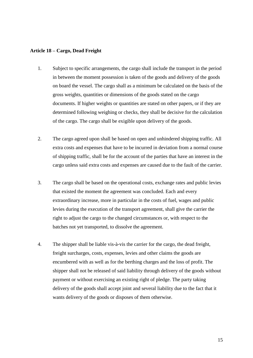#### **Article 18 – Cargo, Dead Freight**

- 1. Subject to specific arrangements, the cargo shall include the transport in the period in between the moment possession is taken of the goods and delivery of the goods on board the vessel. The cargo shall as a minimum be calculated on the basis of the gross weights, quantities or dimensions of the goods stated on the cargo documents. If higher weights or quantities are stated on other papers, or if they are determined following weighing or checks, they shall be decisive for the calculation of the cargo. The cargo shall be exigible upon delivery of the goods.
- 2. The cargo agreed upon shall be based on open and unhindered shipping traffic. All extra costs and expenses that have to be incurred in deviation from a normal course of shipping traffic, shall be for the account of the parties that have an interest in the cargo unless said extra costs and expenses are caused due to the fault of the carrier.
- 3. The cargo shall be based on the operational costs, exchange rates and public levies that existed the moment the agreement was concluded. Each and every extraordinary increase, more in particular in the costs of fuel, wages and public levies during the execution of the transport agreement, shall give the carrier the right to adjust the cargo to the changed circumstances or, with respect to the batches not yet transported, to dissolve the agreement.
- 4. The shipper shall be liable vis-à-vis the carrier for the cargo, the dead freight, freight surcharges, costs, expenses, levies and other claims the goods are encumbered with as well as for the berthing charges and the loss of profit. The shipper shall not be released of said liability through delivery of the goods without payment or without exercising an existing right of pledge. The party taking delivery of the goods shall accept joint and several liability due to the fact that it wants delivery of the goods or disposes of them otherwise.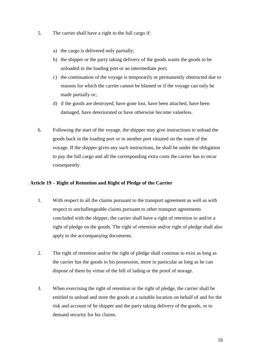- 5. The carrier shall have a right to the full cargo if:
	- a) the cargo is delivered only partially;
	- b) the shipper or the party taking delivery of the goods wants the goods to be unloaded in the loading port or an intermediate port;
	- c) the continuation of the voyage is temporarily or permanently obstructed due to reasons for which the carrier cannot be blamed or if the voyage can only be made partially or;
	- d) if the goods are destroyed, have gone lost, have been attached, have been damaged, have deteriorated or have otherwise become valueless.
- 6. Following the start of the voyage, the shipper may give instructions to unload the goods back in the loading port or in another port situated on the route of the voyage. If the shipper gives any such instructions, he shall be under the obligation to pay the full cargo and all the corresponding extra costs the carrier has to incur consequently.

# **Article 19 – Right of Retention and Right of Pledge of the Carrier**

- 1. With respect to all the claims pursuant to the transport agreement as well as with respect to unchallengeable claims pursuant to other transport agreements concluded with the shipper, the carrier shall have a right of retention to and/or a right of pledge on the goods. The right of retention and/or right of pledge shall also apply to the accompanying documents.
- 2. The right of retention and/or the right of pledge shall continue to exist as long as the carrier has the goods in his possession, more in particular as long as he can dispose of them by virtue of the bill of lading or the proof of storage.
- 3. When exercising the right of retention or the right of pledge, the carrier shall be entitled to unload and store the goods at a suitable location on behalf of and for the risk and account of he shipper and the party taking delivery of the goods, or to demand security for his claims.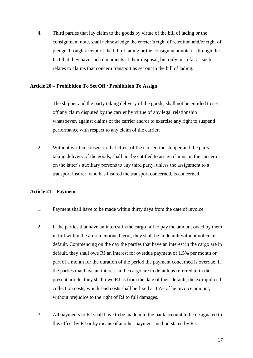4. Third parties that lay claim to the goods by virtue of the bill of lading or the consignment note, shall acknowledge the carrier's right of retention and/or right of pledge through receipt of the bill of lading or the consignment note or through the fact that they have such documents at their disposal, but only in so far as such relates to claims that concern transport as set out in the bill of lading.

# **Article 20 – Prohibition To Set Off / Prohibition To Assign**

- 1. The shipper and the party taking delivery of the goods, shall not be entitled to set off any claim disputed by the carrier by virtue of any legal relationship whatsoever, against claims of the carrier and/or to exercise any right to suspend performance with respect to any claim of the carrier.
- 2. Without written consent to that effect of the carrier, the shipper and the party taking delivery of the goods, shall not be entitled to assign claims on the carrier or on the latter's auxiliary persons to any third party, unless the assignment to a transport insurer, who has insured the transport concerned, is concerned.

# **Article 21 – Payment**

- 1. Payment shall have to be made within thirty days from the date of invoice.
- 2. If the parties that have an interest in the cargo fail to pay the amount owed by them in full within the aforementioned term, they shall be in default without notice of default. Commencing on the day the parties that have an interest in the cargo are in default, they shall owe RJ an interest for overdue payment of 1.5% per month or part of a month for the duration of the period the payment concerned is overdue. If the parties that have an interest in the cargo are in default as referred to in the present article, they shall owe RJ as from the date of their default, the extrajudicial collection costs, which said costs shall be fixed at 15% of he invoice amount, without prejudice to the right of RJ to full damages.
- 3. All payments to RJ shall have to be made into the bank account to be designated to this effect by RJ or by means of another payment method stated by RJ.